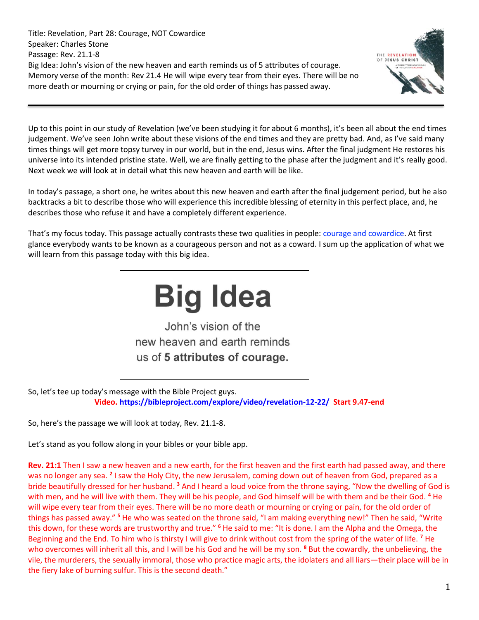Title: Revelation, Part 28: Courage, NOT Cowardice Speaker: Charles Stone Passage: Rev. 21.1-8 Big Idea: John's vision of the new heaven and earth reminds us of 5 attributes of courage. Memory verse of the month: Rev 21.4 He will wipe every tear from their eyes. There will be no more death or mourning or crying or pain, for the old order of things has passed away.



Up to this point in our study of Revelation (we've been studying it for about 6 months), it's been all about the end times judgement. We've seen John write about these visions of the end times and they are pretty bad. And, as I've said many times things will get more topsy turvey in our world, but in the end, Jesus wins. After the final judgment He restores his universe into its intended pristine state. Well, we are finally getting to the phase after the judgment and it's really good. Next week we will look at in detail what this new heaven and earth will be like.

In today's passage, a short one, he writes about this new heaven and earth after the final judgement period, but he also backtracks a bit to describe those who will experience this incredible blessing of eternity in this perfect place, and, he describes those who refuse it and have a completely different experience.

That's my focus today. This passage actually contrasts these two qualities in people: courage and cowardice. At first glance everybody wants to be known as a courageous person and not as a coward. I sum up the application of what we will learn from this passage today with this big idea.



So, let's tee up today's message with the Bible Project guys. **Video.<https://bibleproject.com/explore/video/revelation-12-22/>Start 9.47-end**

So, here's the passage we will look at today, Rev. 21.1-8.

Let's stand as you follow along in your bibles or your bible app.

**Rev. 21:1** Then I saw a new heaven and a new earth, for the first heaven and the first earth had passed away, and there was no longer any sea. <sup>2</sup> I saw the Holy City, the new Jerusalem, coming down out of heaven from God, prepared as a bride beautifully dressed for her husband. **<sup>3</sup>** And I heard a loud voice from the throne saying, "Now the dwelling of God is with men, and he will live with them. They will be his people, and God himself will be with them and be their God. **<sup>4</sup>** He will wipe every tear from their eyes. There will be no more death or mourning or crying or pain, for the old order of things has passed away." **<sup>5</sup>** He who was seated on the throne said, "I am making everything new!" Then he said, "Write this down, for these words are trustworthy and true." **<sup>6</sup>** He said to me: "It is done. I am the Alpha and the Omega, the Beginning and the End. To him who is thirsty I will give to drink without cost from the spring of the water of life. **<sup>7</sup>** He who overcomes will inherit all this, and I will be his God and he will be my son. **<sup>8</sup>** But the cowardly, the unbelieving, the vile, the murderers, the sexually immoral, those who practice magic arts, the idolaters and all liars—their place will be in the fiery lake of burning sulfur. This is the second death."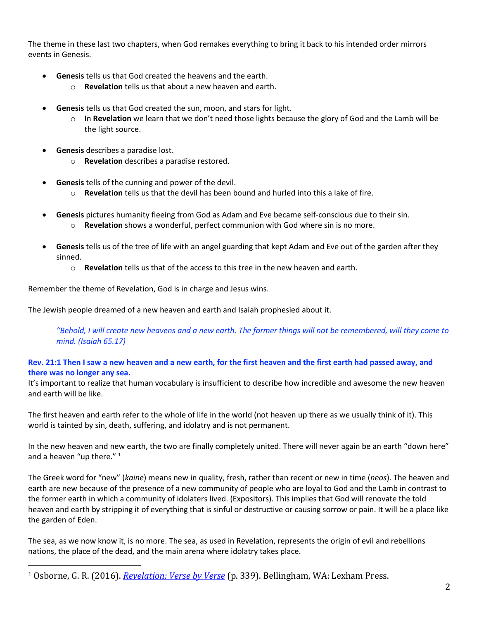The theme in these last two chapters, when God remakes everything to bring it back to his intended order mirrors events in Genesis.

- **Genesis** tells us that God created the heavens and the earth.
	- o **Revelation** tells us that about a new heaven and earth.
- **Genesis** tells us that God created the sun, moon, and stars for light.
	- o In **Revelation** we learn that we don't need those lights because the glory of God and the Lamb will be the light source.
- **Genesis** describes a paradise lost.
	- o **Revelation** describes a paradise restored.
- Genesis tells of the cunning and power of the devil.
	- o **Revelation** tells us that the devil has been bound and hurled into this a lake of fire.
- **Genesis** pictures humanity fleeing from God as Adam and Eve became self-conscious due to their sin.
	- o **Revelation** shows a wonderful, perfect communion with God where sin is no more.
- **Genesis** tells us of the tree of life with an angel guarding that kept Adam and Eve out of the garden after they sinned.
	- o **Revelation** tells us that of the access to this tree in the new heaven and earth.

Remember the theme of Revelation, God is in charge and Jesus wins.

The Jewish people dreamed of a new heaven and earth and Isaiah prophesied about it.

*"Behold, I will create new heavens and a new earth. The former things will not be remembered, will they come to mind. (Isaiah 65.17)*

# **Rev. 21:1 Then I saw a new heaven and a new earth, for the first heaven and the first earth had passed away, and there was no longer any sea.**

It's important to realize that human vocabulary is insufficient to describe how incredible and awesome the new heaven and earth will be like.

The first heaven and earth refer to the whole of life in the world (not heaven up there as we usually think of it). This world is tainted by sin, death, suffering, and idolatry and is not permanent.

In the new heaven and new earth, the two are finally completely united. There will never again be an earth "down here" and a heaven "up there." $1$ 

The Greek word for "new" (*kaine*) means new in quality, fresh, rather than recent or new in time (*neos*). The heaven and earth are new because of the presence of a new community of people who are loyal to God and the Lamb in contrast to the former earth in which a community of idolaters lived. (Expositors). This implies that God will renovate the told heaven and earth by stripping it of everything that is sinful or destructive or causing sorrow or pain. It will be a place like the garden of Eden.

The sea, as we now know it, is no more. The sea, as used in Revelation, represents the origin of evil and rebellions nations, the place of the dead, and the main arena where idolatry takes place.

<sup>1</sup> Osborne, G. R. (2016). *[Revelation: Verse by Verse](https://ref.ly/logosres/vbv87rev?ref=Bible.Re21.1-2&off=2391&ctx=th+(see+Gen+28:12).+~In+the+new+heaven+an)* (p. 339). Bellingham, WA: Lexham Press.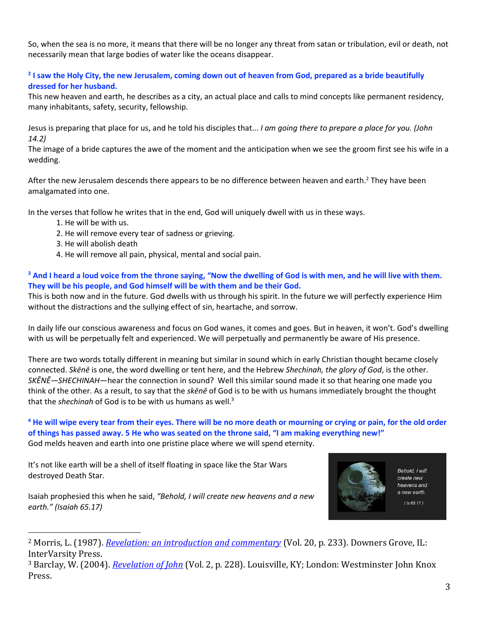So, when the sea is no more, it means that there will be no longer any threat from satan or tribulation, evil or death, not necessarily mean that large bodies of water like the oceans disappear.

# **2 I saw the Holy City, the new Jerusalem, coming down out of heaven from God, prepared as a bride beautifully dressed for her husband.**

This new heaven and earth, he describes as a city, an actual place and calls to mind concepts like permanent residency, many inhabitants, safety, security, fellowship.

Jesus is preparing that place for us, and he told his disciples that... *I am going there to prepare a place for you. (John 14.2)*

The image of a bride captures the awe of the moment and the anticipation when we see the groom first see his wife in a wedding.

After the new Jerusalem descends there appears to be no difference between heaven and earth.<sup>2</sup> They have been amalgamated into one.

In the verses that follow he writes that in the end, God will uniquely dwell with us in these ways.

- 1. He will be with us.
- 2. He will remove every tear of sadness or grieving.
- 3. He will abolish death
- 4. He will remove all pain, physical, mental and social pain.

**<sup>3</sup> And I heard a loud voice from the throne saying, "Now the dwelling of God is with men, and he will live with them. They will be his people, and God himself will be with them and be their God.** 

This is both now and in the future. God dwells with us through his spirit. In the future we will perfectly experience Him without the distractions and the sullying effect of sin, heartache, and sorrow.

In daily life our conscious awareness and focus on God wanes, it comes and goes. But in heaven, it won't. God's dwelling with us will be perpetually felt and experienced. We will perpetually and permanently be aware of His presence.

There are two words totally different in meaning but similar in sound which in early Christian thought became closely connected. *Skēnē* is one, the word dwelling or tent here, and the Hebrew *Shechinah, the glory of God*, is the other. *SKĒNĒ—SHECHINAH*—hear the connection in sound? Well this similar sound made it so that hearing one made you think of the other. As a result, to say that the *skēnē* of God is to be with us humans immediately brought the thought that the *shechinah* of God is to be with us humans as well.<sup>3</sup>

## **<sup>4</sup> He will wipe every tear from their eyes. There will be no more death or mourning or crying or pain, for the old order of things has passed away. 5 He who was seated on the throne said, "I am making everything new!"** God melds heaven and earth into one pristine place where we will spend eternity.

It's not like earth will be a shell of itself floating in space like the Star Wars destroyed Death Star.



Behold, I will create new heavens and a new earth.  $(1s 65.17)$ 

Isaiah prophesied this when he said, *"Behold, I will create new heavens and a new earth." (Isaiah 65.17)*

<sup>2</sup> Morris, L. (1987). *[Revelation: an introduction and commentary](https://ref.ly/logosres/tntc87reus?ref=Bible.Re21.2&off=653&ctx=s+with+men%E2%80%99+(v.+3).+~In+fact+after+the+ne)* (Vol. 20, p. 233). Downers Grove, IL: InterVarsity Press.

<sup>3</sup> Barclay, W. (2004). *[Revelation of John](https://ref.ly/logosres/ndsb87rev02?ref=Bible.Re21.3-4&off=1192&ctx=+that+presence.%0a(2)+~There+are+two+words+)* (Vol. 2, p. 228). Louisville, KY; London: Westminster John Knox Press.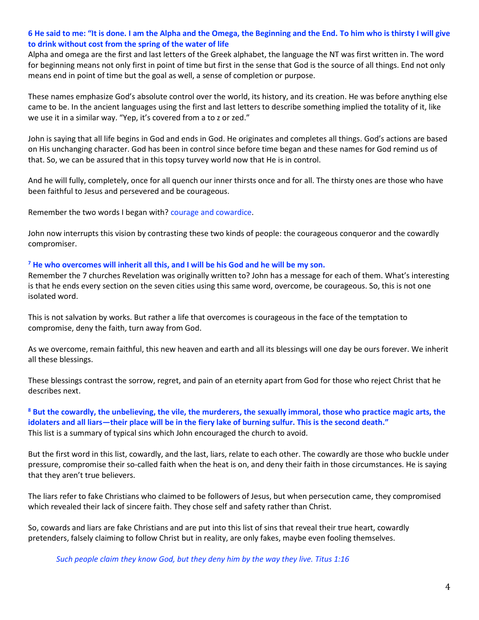## **6 He said to me: "It is done. I am the Alpha and the Omega, the Beginning and the End. To him who is thirsty I will give to drink without cost from the spring of the water of life**

Alpha and omega are the first and last letters of the Greek alphabet, the language the NT was first written in. The word for beginning means not only first in point of time but first in the sense that God is the source of all things. End not only means end in point of time but the goal as well, a sense of completion or purpose.

These names emphasize God's absolute control over the world, its history, and its creation. He was before anything else came to be. In the ancient languages using the first and last letters to describe something implied the totality of it, like we use it in a similar way. "Yep, it's covered from a to z or zed."

John is saying that all life begins in God and ends in God. He originates and completes all things. God's actions are based on His unchanging character. God has been in control since before time began and these names for God remind us of that. So, we can be assured that in this topsy turvey world now that He is in control.

And he will fully, completely, once for all quench our inner thirsts once and for all. The thirsty ones are those who have been faithful to Jesus and persevered and be courageous.

Remember the two words I began with? courage and cowardice.

John now interrupts this vision by contrasting these two kinds of people: the courageous conqueror and the cowardly compromiser.

## **<sup>7</sup> He who overcomes will inherit all this, and I will be his God and he will be my son.**

Remember the 7 churches Revelation was originally written to? John has a message for each of them. What's interesting is that he ends every section on the seven cities using this same word, overcome, be courageous. So, this is not one isolated word.

This is not salvation by works. But rather a life that overcomes is courageous in the face of the temptation to compromise, deny the faith, turn away from God.

As we overcome, remain faithful, this new heaven and earth and all its blessings will one day be ours forever. We inherit all these blessings.

These blessings contrast the sorrow, regret, and pain of an eternity apart from God for those who reject Christ that he describes next.

**<sup>8</sup> But the cowardly, the unbelieving, the vile, the murderers, the sexually immoral, those who practice magic arts, the idolaters and all liars—their place will be in the fiery lake of burning sulfur. This is the second death."** This list is a summary of typical sins which John encouraged the church to avoid.

But the first word in this list, cowardly, and the last, liars, relate to each other. The cowardly are those who buckle under pressure, compromise their so-called faith when the heat is on, and deny their faith in those circumstances. He is saying that they aren't true believers.

The liars refer to fake Christians who claimed to be followers of Jesus, but when persecution came, they compromised which revealed their lack of sincere faith. They chose self and safety rather than Christ.

So, cowards and liars are fake Christians and are put into this list of sins that reveal their true heart, cowardly pretenders, falsely claiming to follow Christ but in reality, are only fakes, maybe even fooling themselves.

*Such people claim they know God, but they deny him by the way they live. Titus 1:16*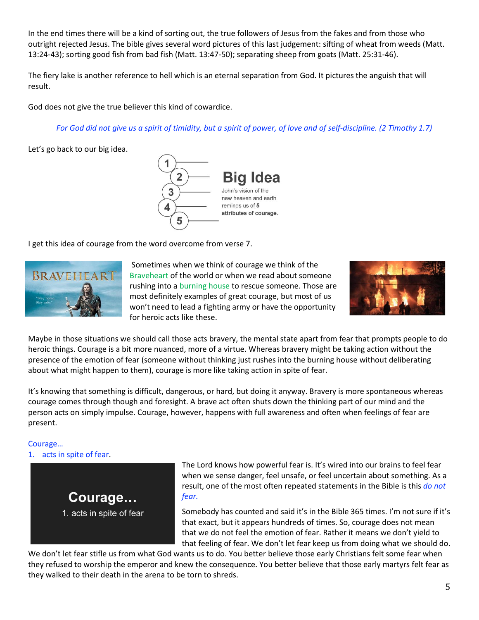In the end times there will be a kind of sorting out, the true followers of Jesus from the fakes and from those who outright rejected Jesus. The bible gives several word pictures of this last judgement: sifting of wheat from weeds (Matt. 13:24-43); sorting good fish from bad fish (Matt. 13:47-50); separating sheep from goats (Matt. 25:31-46).

The fiery lake is another reference to hell which is an eternal separation from God. It pictures the anguish that will result.

God does not give the true believer this kind of cowardice.

*For God did not give us a spirit of timidity, but a spirit of power, of love and of self-discipline. (2 Timothy 1.7)*

Let's go back to our big idea.



I get this idea of courage from the word overcome from verse 7.



Sometimes when we think of courage we think of the Braveheart of the world or when we read about someone rushing into a burning house to rescue someone. Those are most definitely examples of great courage, but most of us won't need to lead a fighting army or have the opportunity for heroic acts like these.



Maybe in those situations we should call those acts bravery, the mental state apart from fear that prompts people to do heroic things. Courage is a bit more nuanced, more of a virtue. Whereas bravery might be taking action without the presence of the emotion of fear (someone without thinking just rushes into the burning house without deliberating about what might happen to them), courage is more like taking action in spite of fear.

It's knowing that something is difficult, dangerous, or hard, but doing it anyway. Bravery is more spontaneous whereas courage comes through though and foresight. A brave act often shuts down the thinking part of our mind and the person acts on simply impulse. Courage, however, happens with full awareness and often when feelings of fear are present.

#### Courage… 1. acts in spite of fear.



The Lord knows how powerful fear is. It's wired into our brains to feel fear when we sense danger, feel unsafe, or feel uncertain about something. As a result, one of the most often repeated statements in the Bible is this *do not fear.*

Somebody has counted and said it's in the Bible 365 times. I'm not sure if it's that exact, but it appears hundreds of times. So, courage does not mean that we do not feel the emotion of fear. Rather it means we don't yield to that feeling of fear. We don't let fear keep us from doing what we should do.

We don't let fear stifle us from what God wants us to do. You better believe those early Christians felt some fear when they refused to worship the emperor and knew the consequence. You better believe that those early martyrs felt fear as they walked to their death in the arena to be torn to shreds.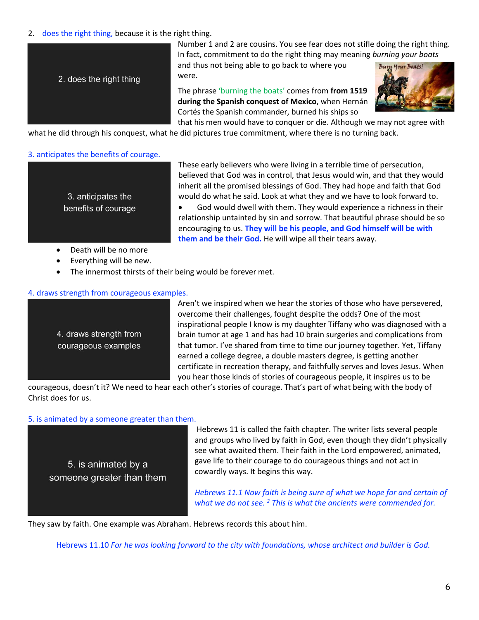# 2. does the right thing, because it is the right thing.



Number 1 and 2 are cousins. You see fear does not stifle doing the right thing. In fact, commitment to do the right thing may meaning *burning your boats*

and thus not being able to go back to where you were.

The phrase 'burning the boats' comes from **from 1519 during the Spanish conquest of Mexico**, when Hernán Cortés the Spanish commander, burned his ships so that his men would have to conquer or die. Although we may not agree with



what he did through his conquest, what he did pictures true commitment, where there is no turning back.

## 3. anticipates the benefits of courage.

3. anticipates the benefits of courage These early believers who were living in a terrible time of persecution, believed that God was in control, that Jesus would win, and that they would inherit all the promised blessings of God. They had hope and faith that God would do what he said. Look at what they and we have to look forward to.

• God would dwell with them. They would experience a richness in their relationship untainted by sin and sorrow. That beautiful phrase should be so encouraging to us. **They will be his people, and God himself will be with them and be their God.** He will wipe all their tears away.

- Death will be no more
- Everything will be new.
- The innermost thirsts of their being would be forever met.

## 4. draws strength from courageous examples.

4. draws strength from courageous examples Aren't we inspired when we hear the stories of those who have persevered, overcome their challenges, fought despite the odds? One of the most inspirational people I know is my daughter Tiffany who was diagnosed with a brain tumor at age 1 and has had 10 brain surgeries and complications from that tumor. I've shared from time to time our journey together. Yet, Tiffany earned a college degree, a double masters degree, is getting another certificate in recreation therapy, and faithfully serves and loves Jesus. When you hear those kinds of stories of courageous people, it inspires us to be

courageous, doesn't it? We need to hear each other's stories of courage. That's part of what being with the body of Christ does for us.

## 5. is animated by a someone greater than them.

5. is animated by a someone greater than them

Hebrews 11 is called the faith chapter. The writer lists several people and groups who lived by faith in God, even though they didn't physically see what awaited them. Their faith in the Lord empowered, animated, gave life to their courage to do courageous things and not act in cowardly ways. It begins this way.

*Hebrews 11.1 Now faith is being sure of what we hope for and certain of what we do not see. <sup>2</sup> This is what the ancients were commended for.*

They saw by faith. One example was Abraham. Hebrews records this about him.

Hebrews 11.10 *For he was looking forward to the city with foundations, whose architect and builder is God.*